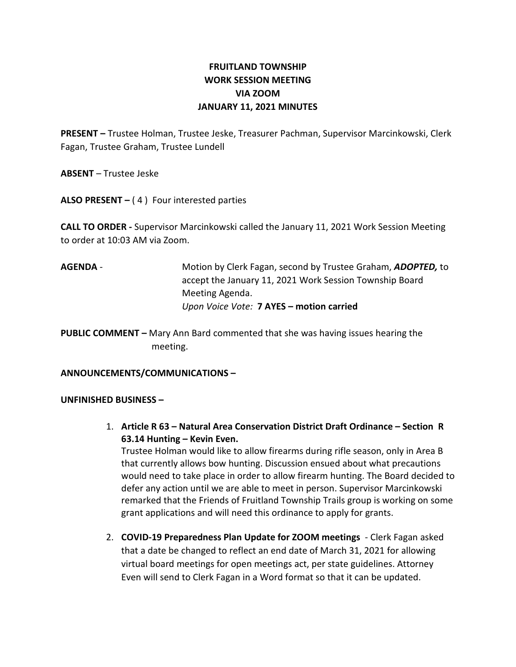# FRUITLAND TOWNSHIP WORK SESSION MEETING VIA ZOOM JANUARY 11, 2021 MINUTES

PRESENT – Trustee Holman, Trustee Jeske, Treasurer Pachman, Supervisor Marcinkowski, Clerk Fagan, Trustee Graham, Trustee Lundell

ABSENT – Trustee Jeske

ALSO PRESENT  $-$  (4) Four interested parties

CALL TO ORDER - Supervisor Marcinkowski called the January 11, 2021 Work Session Meeting to order at 10:03 AM via Zoom.

AGENDA - Motion by Clerk Fagan, second by Trustee Graham, ADOPTED, to accept the January 11, 2021 Work Session Township Board Meeting Agenda. Upon Voice Vote: 7 AYES – motion carried

PUBLIC COMMENT – Mary Ann Bard commented that she was having issues hearing the meeting.

## ANNOUNCEMENTS/COMMUNICATIONS –

#### UNFINISHED BUSINESS –

1. Article R 63 – Natural Area Conservation District Draft Ordinance – Section R 63.14 Hunting – Kevin Even.

Trustee Holman would like to allow firearms during rifle season, only in Area B that currently allows bow hunting. Discussion ensued about what precautions would need to take place in order to allow firearm hunting. The Board decided to defer any action until we are able to meet in person. Supervisor Marcinkowski remarked that the Friends of Fruitland Township Trails group is working on some grant applications and will need this ordinance to apply for grants.

2. COVID-19 Preparedness Plan Update for ZOOM meetings - Clerk Fagan asked that a date be changed to reflect an end date of March 31, 2021 for allowing virtual board meetings for open meetings act, per state guidelines. Attorney Even will send to Clerk Fagan in a Word format so that it can be updated.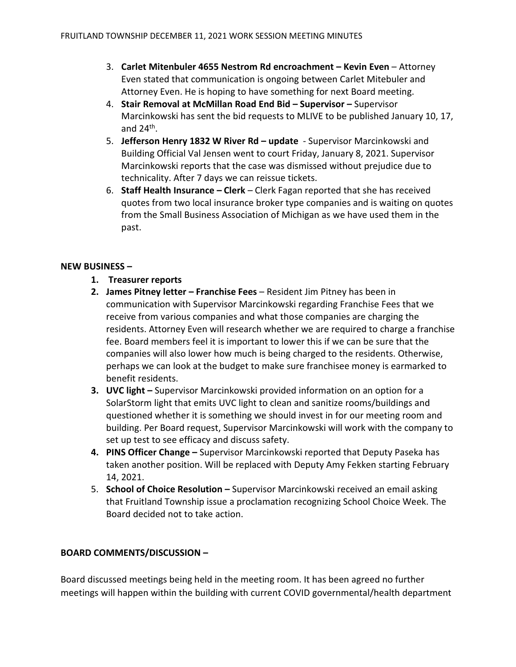- 3. Carlet Mitenbuler 4655 Nestrom Rd encroachment Kevin Even Attorney Even stated that communication is ongoing between Carlet Mitebuler and Attorney Even. He is hoping to have something for next Board meeting.
- 4. Stair Removal at McMillan Road End Bid Supervisor Supervisor Marcinkowski has sent the bid requests to MLIVE to be published January 10, 17, and 24<sup>th</sup>.
- 5. Jefferson Henry 1832 W River Rd update Supervisor Marcinkowski and Building Official Val Jensen went to court Friday, January 8, 2021. Supervisor Marcinkowski reports that the case was dismissed without prejudice due to technicality. After 7 days we can reissue tickets.
- 6. Staff Health Insurance Clerk Clerk Fagan reported that she has received quotes from two local insurance broker type companies and is waiting on quotes from the Small Business Association of Michigan as we have used them in the past.

#### NEW BUSINESS –

- 1. Treasurer reports
- 2. James Pitney letter Franchise Fees Resident Jim Pitney has been in communication with Supervisor Marcinkowski regarding Franchise Fees that we receive from various companies and what those companies are charging the residents. Attorney Even will research whether we are required to charge a franchise fee. Board members feel it is important to lower this if we can be sure that the companies will also lower how much is being charged to the residents. Otherwise, perhaps we can look at the budget to make sure franchisee money is earmarked to benefit residents.
- 3. UVC light Supervisor Marcinkowski provided information on an option for a SolarStorm light that emits UVC light to clean and sanitize rooms/buildings and questioned whether it is something we should invest in for our meeting room and building. Per Board request, Supervisor Marcinkowski will work with the company to set up test to see efficacy and discuss safety.
- 4. PINS Officer Change Supervisor Marcinkowski reported that Deputy Paseka has taken another position. Will be replaced with Deputy Amy Fekken starting February 14, 2021.
- 5. School of Choice Resolution Supervisor Marcinkowski received an email asking that Fruitland Township issue a proclamation recognizing School Choice Week. The Board decided not to take action.

## BOARD COMMENTS/DISCUSSION –

Board discussed meetings being held in the meeting room. It has been agreed no further meetings will happen within the building with current COVID governmental/health department